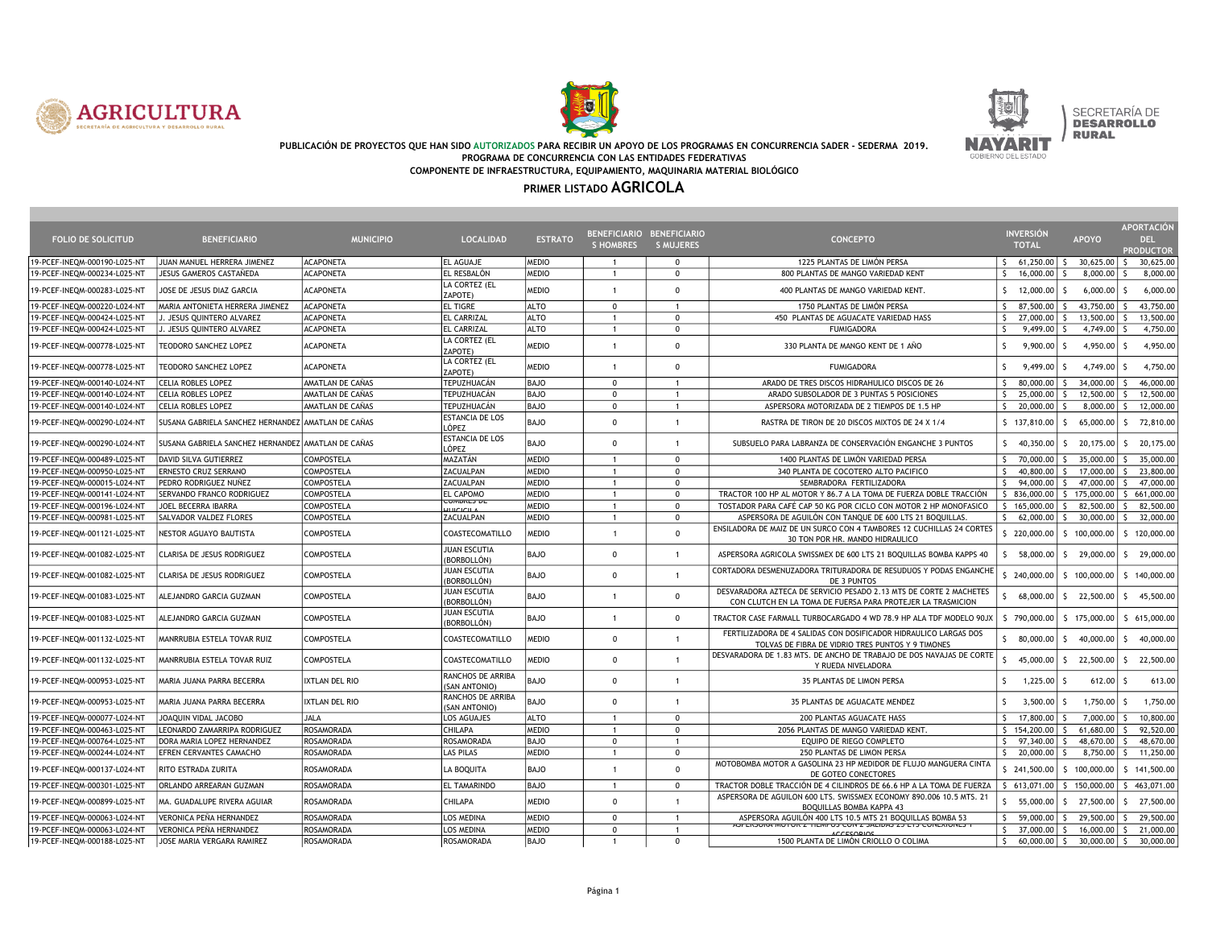





SECRETARÍA DE<br>D**esarrollo RURAL** 

#### PUBLICACIÓN DE PROYECTOS QUE HAN SIDO AUTORIZADOS PARA RECIBIR UN APOYO DE LOS PROGRAMAS EN CONCURRENCIA SADER - SEDERMA 2019. PROGRAMA DE CONCURRENCIA CON LAS ENTIDADES FEDERATIVAS COMPONENTE DE INFRAESTRUCTURA, EQUIPAMIENTO, MAQUINARIA MATERIAL BIOLÓGICO

| <b>FOLIO DE SOLICITUD</b>    | <b>BENEFICIARIO</b>                                | <b>MUNICIPIO</b>      | <b>LOCALIDAD</b>                          | <b>ESTRATO</b> | BENEFICIARIO BENEFICIARIO<br><b>SHOMBRES</b> | <b>S MUJERES</b> | <b>CONCEPTO</b>                                                                                                                   | <b>INVERSIÓN</b><br><b>TOTAL</b> | <b>APOYO</b>              | <b>APORTACIÓN</b><br>DEL.<br><b>PRODUCTOR</b>                   |
|------------------------------|----------------------------------------------------|-----------------------|-------------------------------------------|----------------|----------------------------------------------|------------------|-----------------------------------------------------------------------------------------------------------------------------------|----------------------------------|---------------------------|-----------------------------------------------------------------|
| 19-PCEF-INEQM-000190-L025-N  | JUAN MANUEL HERRERA JIMENEZ                        | <b>ACAPONETA</b>      | <b>EL AGUAJE</b>                          | MEDIO          | -1                                           | $\mathbf 0$      | 1225 PLANTAS DE LIMÓN PERSA                                                                                                       | 61,250.00<br>S.                  | $30,625.00$ \$<br>-S.     | 30,625.00                                                       |
| 19-PCEF-INEQM-000234-L025-NT | JESUS GAMEROS CASTAÑEDA                            | <b>ACAPONETA</b>      | EL RESBALÓN                               | <b>MEDIO</b>   | $\overline{1}$                               | $\mathbf 0$      | 800 PLANTAS DE MANGO VARIEDAD KENT                                                                                                | $\zeta$<br>16,000.00             | 8,000.00                  | 8,000.00<br>-S                                                  |
| 19-PCEF-INEQM-000283-L025-NT | JOSE DE JESUS DIAZ GARCIA                          | <b>ACAPONETA</b>      | LA CORTEZ (EL<br>ZAPOTE)                  | <b>MEDIO</b>   | $\overline{1}$                               | $\mathbf 0$      | 400 PLANTAS DE MANGO VARIEDAD KENT.                                                                                               | 12,000.00<br>$\zeta$             | 6.000.00                  | 6.000.00<br>$\zeta$                                             |
| 19-PCEF-INEQM-000220-L024-NT | MARIA ANTONIETA HERRERA JIMENEZ                    | <b>ACAPONETA</b>      | <b>EL TIGRE</b>                           | <b>ALTO</b>    | $\Omega$                                     | $\overline{1}$   | 1750 PLANTAS DE LIMÓN PERSA                                                                                                       | S.<br>87,500.00                  | 43,750.00<br>$\zeta$      | 43,750.00<br>-S                                                 |
| 19-PCEF-INEQM-000424-L025-NT | J. JESUS QUINTERO ALVAREZ                          | <b>ACAPONETA</b>      | <b>EL CARRIZAL</b>                        | <b>ALTO</b>    | $\overline{1}$                               | $\mathbf 0$      | 450 PLANTAS DE AGUACATE VARIEDAD HASS                                                                                             | 27,000.00<br>S.                  | 13,500.00                 | 13,500.00<br>-S                                                 |
| 19-PCEF-INEQM-000424-L025-NT | J. JESUS QUINTERO ALVAREZ                          | <b>ACAPONETA</b>      | <b>EL CARRIZAL</b>                        | <b>ALTO</b>    | $\overline{1}$                               | $\mathbf 0$      | <b>FUMIGADORA</b>                                                                                                                 | $\mathsf{S}$<br>9,499.00         | $4,749.00$ \$             | 4,750.00                                                        |
| 19-PCEF-INEQM-000778-L025-NT | TEODORO SANCHEZ LOPEZ                              | <b>ACAPONETA</b>      | LA CORTEZ (EL<br>ZAPOTE)                  | <b>MEDIO</b>   |                                              | $\Omega$         | 330 PLANTA DE MANGO KENT DE 1 AÑO                                                                                                 | S.<br>9,900.00                   | 4,950.00 $\vert$ \$<br>-S | 4,950.00                                                        |
| 19-PCEF-INEQM-000778-L025-NT | TEODORO SANCHEZ LOPEZ                              | <b>ACAPONETA</b>      | LA CORTEZ (EL<br>ZAPOTE)                  | <b>MEDIO</b>   | $\blacktriangleleft$                         | $^{\circ}$       | <b>FUMIGADORA</b>                                                                                                                 | S.<br>9,499.00                   | 4,749.00<br>S.            | 4,750.00<br>-S                                                  |
| 19-PCEF-INEOM-000140-L024-NT | CELIA ROBLES LOPEZ                                 | AMATLAN DE CAÑAS      | TEPUZHUACÁN                               | <b>BAJO</b>    | $\Omega$                                     | $\overline{1}$   | ARADO DE TRES DISCOS HIDRAHULICO DISCOS DE 26                                                                                     | $\zeta$<br>80,000.00             | 34,000.00<br>$\zeta$      | 46,000.00<br>$\zeta$                                            |
| 19-PCEF-INEQM-000140-L024-NT | CELIA ROBLES LOPEZ                                 | AMATLAN DE CAÑAS      | TEPUZHUACÁN                               | BAJO           | $\Omega$                                     | $\overline{1}$   | ARADO SUBSOLADOR DE 3 PUNTAS 5 POSICIONES                                                                                         | 25,000.00<br>S.                  | 12,500.00                 | 12,500.00<br>-S                                                 |
| 19-PCEF-INEQM-000140-L024-NT | CELIA ROBLES LOPEZ                                 | AMATLAN DE CAÑAS      | TEPUZHUACÁN                               | <b>BAJO</b>    | $\Omega$                                     | $\overline{1}$   | ASPERSORA MOTORIZADA DE 2 TIEMPOS DE 1.5 HP                                                                                       | 20,000.00<br>S.                  | 8,000.00                  | 12,000.00<br>$\zeta$                                            |
| 19-PCEF-INEQM-000290-L024-NT | SUSANA GABRIELA SANCHEZ HERNANDEZ AMATLAN DE CAÑAS |                       | <b>ESTANCIA DE LOS</b><br>LÓPEZ           | <b>BAJO</b>    | $\Omega$                                     | $\overline{1}$   | RASTRA DE TIRON DE 20 DISCOS MIXTOS DE 24 X 1/4                                                                                   | $$137,810.00$ $$$                | 65,000.00 \$              | 72,810.00                                                       |
| 19-PCEF-INEQM-000290-L024-NT | SUSANA GABRIELA SANCHEZ HERNANDEZ AMATLAN DE CAÑAS |                       | <b>ESTANCIA DE LOS</b><br>LÓPEZ           | <b>BAJO</b>    | $\Omega$                                     | $\overline{1}$   | SUBSUELO PARA LABRANZA DE CONSERVACIÓN ENGANCHE 3 PUNTOS                                                                          | $\mathsf{S}$<br>40,350.00        | $5$ 20,175.00             | 20,175.00<br>S.                                                 |
| 19-PCEF-INEQM-000489-L025-NT | DAVID SILVA GUTIERREZ                              | COMPOSTELA            | MAZATÁN                                   | MEDIO          | $\mathbf{1}$                                 | $^{\circ}$       | 1400 PLANTAS DE LIMÓN VARIEDAD PERSA                                                                                              | 70,000.00<br>S.                  | 35,000.00                 | 35,000.00<br>-S                                                 |
| 19-PCEF-INEQM-000950-L025-NT | ERNESTO CRUZ SERRANO                               | COMPOSTELA            | ZACUALPAN                                 | MEDIO          | $\overline{1}$                               | $\mathbf 0$      | 340 PLANTA DE COCOTERO ALTO PACIFICO                                                                                              | 40,800.00<br>S.                  | 17,000.00 \$<br>-S        | 23,800.00                                                       |
| 19-PCEF-INEQM-000015-L024-NT | Pedro Rodriguez nuñez                              | COMPOSTELA            | ZACUALPAN                                 | MEDIO          | $\overline{1}$                               | $^{\circ}$       | SEMBRADORA FERTILIZADORA                                                                                                          | $\mathsf{S}$<br>94,000.00        | 47,000.00                 | S.<br>47,000.00                                                 |
| 19-PCEF-INEQM-000141-L024-NT | SERVANDO FRANCO RODRIGUEZ                          | COMPOSTELA            | <b>EL CAPOMO</b>                          | MEDIO          | $\overline{1}$                               | $\mathbf 0$      | TRACTOR 100 HP AL MOTOR Y 86.7 A LA TOMA DE FUERZA DOBLE TRACCIÓN                                                                 | \$ 836,000.00                    | 175,000.00<br>$\zeta$     | 661,000.00<br>-S                                                |
| 19-PCEF-INEQM-000196-L024-NT | JOEL BECERRA IBARRA                                | COMPOSTELA            | CUMDRES DE<br><b>HILCLOTE</b>             | MEDIO          | $\overline{1}$                               | $\mathbf 0$      | TOSTADOR PARA CAFÉ CAP 50 KG POR CICLO CON MOTOR 2 HP MONOFASICO                                                                  | \$165,000.00                     | 82,500.00<br>ς.           | 82,500.00<br>-S                                                 |
| 19-PCEF-INEQM-000981-L025-NT | SALVADOR VALDEZ FLORES                             | COMPOSTELA            | <b>ZACUALPAN</b>                          | MEDIO          | $\overline{1}$                               | $^{\circ}$       | ASPERSORA DE AGUILÓN CON TANQUE DE 600 LTS 21 BOQUILLAS.                                                                          | $\mathsf{S}$<br>62,000.00        | -S.<br>$30,000.00$ \$     | 32,000.00                                                       |
| 19-PCEF-INEQM-001121-L025-NT | NESTOR AGUAYO BAUTISTA                             | COMPOSTELA            | COASTECOMATILLO                           | <b>MEDIO</b>   | $\overline{1}$                               | $\mathbf 0$      | ENSILADORA DE MAIZ DE UN SURCO CON 4 TAMBORES 12 CUCHILLAS 24 CORTES<br>30 TON POR HR. MANDO HIDRAULICO                           | \$220,000.00                     | \$100,000.00              | \$120,000.00                                                    |
| 19-PCEF-INEQM-001082-L025-NT | CLARISA DE JESUS RODRIGUEZ                         | COMPOSTELA            | <b>JUAN ESCUTIA</b><br>(BORBOLLÓN)        | <b>BAJO</b>    | $\Omega$                                     | $\overline{1}$   | ASPERSORA AGRICOLA SWISSMEX DE 600 LTS 21 BOQUILLAS BOMBA KAPPS 40                                                                | 58,000.00<br>ς.                  | 29,000.00 \$<br>S.        | 29,000.00                                                       |
| 19-PCEF-INEQM-001082-L025-NT | CLARISA DE JESUS RODRIGUEZ                         | COMPOSTELA            | <b>JUAN ESCUTIA</b><br>(BORBOLLÓN)        | <b>BAJO</b>    | $\Omega$                                     | $\overline{1}$   | CORTADORA DESMENUZADORA TRITURADORA DE RESUDUOS Y PODAS ENGANCHE<br>DE 3 PUNTOS                                                   | 240,000,00                       | \$100,000.00              | \$140,000.00                                                    |
| 19-PCEF-INEQM-001083-L025-NT | ALEJANDRO GARCIA GUZMAN                            | COMPOSTELA            | JUAN ESCUTIA<br>(BORBOLLÓN)               | <b>BAJO</b>    | $\overline{1}$                               | $\mathbf 0$      | DESVARADORA AZTECA DE SERVICIO PESADO 2.13 MTS DE CORTE 2 MACHETES<br>CON CLUTCH EN LA TOMA DE FUERSA PARA PROTEJER LA TRASMICION | 68,000.00                        | 22,500.00<br>S.           | 45,500.00<br>ls.                                                |
| 19-PCEF-INEQM-001083-L025-NT | ALEJANDRO GARCIA GUZMAN                            | COMPOSTELA            | <b>JUAN ESCUTIA</b><br>(BORBOLLÓN)        | <b>BAJO</b>    | $\overline{1}$                               | $^{\circ}$       | TRACTOR CASE FARMALL TURBOCARGADO 4 WD 78.9 HP ALA TDF MODELO 90JX                                                                | \$790,000.00                     | \$175,000.00              | \$ 615,000.00                                                   |
| 19-PCEF-INEQM-001132-L025-NT | WANRRUBIA ESTELA TOVAR RUIZ                        | COMPOSTELA            | COASTECOMATILLO                           | MEDIO          | $\Omega$                                     | $\overline{1}$   | FERTILIZADORA DE 4 SALIDAS CON DOSIFICADOR HIDRAULICO LARGAS DOS<br>TOLVAS DE FIBRA DE VIDRIO TRES PUNTOS Y 9 TIMONES             | 80,000.00<br>S.                  | 40,000.00<br>S.           | 40,000.00<br>-S                                                 |
| 19-PCEF-INEQM-001132-L025-NT | MANRRUBIA ESTELA TOVAR RUIZ                        | COMPOSTELA            | COASTECOMATILLO                           | <b>MEDIO</b>   | $\Omega$                                     | $\overline{1}$   | DESVARADORA DE 1.83 MTS. DE ANCHO DE TRABAJO DE DOS NAVAJAS DE CORTE<br>Y RUEDA NIVELADORA                                        | 45,000.00                        | 22,500.00<br>S.           | 22,500.00<br>IS.                                                |
| 19-PCEF-INEQM-000953-L025-NT | MARIA JUANA PARRA BECERRA                          | <b>IXTLAN DEL RIO</b> | RANCHOS DE ARRIBA<br>(SAN ANTONIO)        | <b>BAJO</b>    | $\Omega$                                     | $\overline{1}$   | 35 PLANTAS DE LIMON PERSA                                                                                                         | 1,225.00<br>S.                   | $612.00$ \$<br>-S         | 613.00                                                          |
| 19-PCEF-INEQM-000953-L025-N  | MARIA JUANA PARRA BECERRA                          | <b>IXTLAN DEL RIO</b> | <b>RANCHOS DE ARRIBA</b><br>(SAN ANTONIO) | <b>BAJO</b>    | $\Omega$                                     | $\overline{1}$   | 35 PLANTAS DE AGUACATE MENDEZ                                                                                                     | S.<br>3,500.00                   | 1,750.00                  | 1,750.00<br>-S                                                  |
| 19-PCEF-INEQM-000077-L024-NT | JOAQUIN VIDAL JACOBO                               | <b>JALA</b>           | LOS AGUAJES                               | <b>ALTO</b>    | $\overline{1}$                               | $^{\circ}$       | 200 PLANTAS AGUACATE HASS                                                                                                         | S.<br>17,800.00                  | $7,000.00$ \$             | 10,800.00                                                       |
| 19-PCEF-INEQM-000463-L025-NT | LEONARDO ZAMARRIPA RODRIGUEZ                       | <b>ROSAMORADA</b>     | <b>CHILAPA</b>                            | MEDIO          | $\overline{1}$                               | $\Omega$         | 2056 PLANTAS DE MANGO VARIEDAD KENT.                                                                                              | \$154,200.00                     | 61,680.00<br>$\zeta$      | 92,520.00<br>$\zeta$                                            |
| 19-PCEF-INEQM-000764-L025-NT | DORA MARIA LOPEZ HERNANDEZ                         | <b>ROSAMORADA</b>     | ROSAMORADA                                | BAJO           | $\Omega$                                     | $\overline{1}$   | EQUIPO DE RIEGO COMPLETO                                                                                                          | 97,340.00<br>S.                  | 48,670.00                 | 48,670.00<br>-S                                                 |
| 19-PCEF-INEQM-000244-L024-NT | EFREN CERVANTES CAMACHO                            | ROSAMORADA            | LAS PILAS                                 | MEDIO          | $\overline{1}$                               | $\mathbf 0$      | 250 PLANTAS DE LIMON PERSA                                                                                                        | S.<br>20,000.00                  | 8,750.00                  | 11,250.00<br>- S                                                |
| 19-PCEF-INEQM-000137-L024-NT | RITO ESTRADA ZURITA                                | ROSAMORADA            | LA BOQUITA                                | <b>BAJO</b>    | $\overline{1}$                               | $\mathbf{0}$     | MOTOBOMBA MOTOR A GASOLINA 23 HP MEDIDOR DE FLUJO MANGUERA CINTA<br>DE GOTEO CONECTORES                                           | \$241,500.00                     | 100,000.00                | \$141,500.00                                                    |
| 19-PCEF-INEQM-000301-L025-NT | ORLANDO ARREARAN GUZMAN                            | ROSAMORADA            | <b>EL TAMARINDO</b>                       | <b>BAJO</b>    | $\mathbf{1}$                                 | $\mathbf 0$      | TRACTOR DOBLE TRACCIÓN DE 4 CILINDROS DE 66.6 HP A LA TOMA DE FUERZA                                                              | 5, 613,071.00                    |                           | $\begin{bmatrix} 5 & 150,000.00 & 5 & 463,071.00 \end{bmatrix}$ |
| 19-PCEF-INEQM-000899-L025-NT | MA. GUADALUPE RIVERA AGUIAR                        | ROSAMORADA            | CHILAPA                                   | <b>MEDIO</b>   | $\Omega$                                     | $\overline{1}$   | ASPERSORA DE AGUILON 600 LTS. SWISSMEX ECONOMY 890.006 10.5 MTS. 21<br>BOQUILLAS BOMBA KAPPA 43                                   | 55,000.00                        | 27,500.00<br>S.           | ls.<br>27,500.00                                                |
| 19-PCEF-INEQM-000063-L024-NT | VERONICA PEÑA HERNANDEZ                            | ROSAMORADA            | <b>LOS MEDINA</b>                         | MEDIO          | $\mathbf{0}$                                 | $\overline{1}$   | ASPERSORA AGUILÓN 400 LTS 10.5 MTS 21 BOQUILLAS BOMBA 53                                                                          | S.<br>59,000.00                  | 29,500.00 \$<br>-S.       | 29,500.00                                                       |
| 19-PCEF-INEQM-000063-L024-NT | VERONICA PEÑA HERNANDEZ                            | ROSAMORADA            | LOS MEDINA                                | MEDIO          | $\Omega$                                     | $\overline{1}$   | ASPERSURA MUTUR Z TIEMPUS CUN Z SALIDAS ZS LTS CUNEXIUNES<br>CCTCONOR                                                             | $\zeta$<br>37,000.00             | 16,000.00                 | 21,000.00<br>l s                                                |
| 19-PCEF-INEQM-000188-L025-NT | JOSE MARIA VERGARA RAMIREZ                         | ROSAMORADA            | ROSAMORADA                                | <b>BAJO</b>    | $\overline{1}$                               | $\Omega$         | 1500 PLANTA DE LIMÓN CRIOLLO O COLIMA                                                                                             | 60,000,00<br>-S.                 | $30,000.00$ \$<br>-S      | 30,000.00                                                       |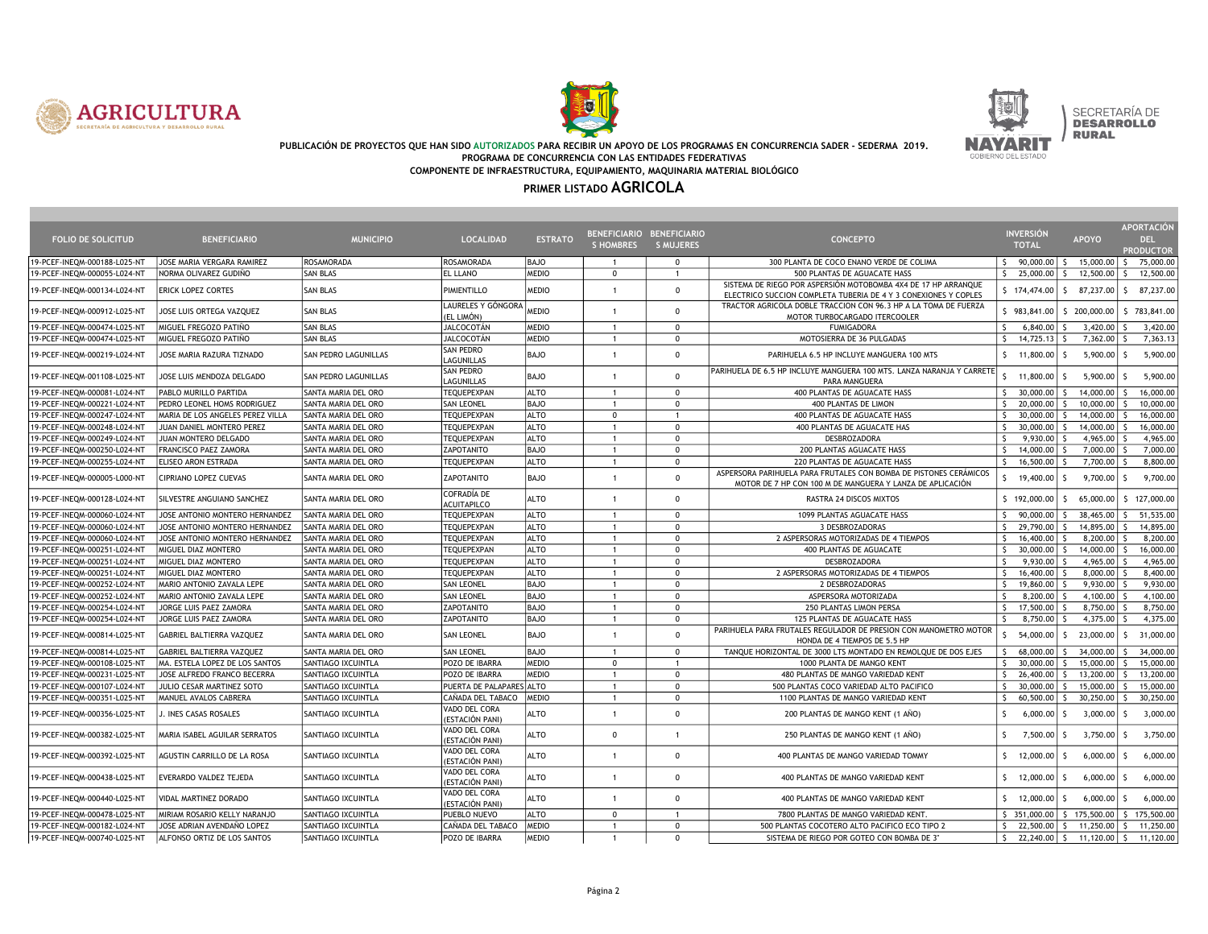





SECRETARÍA DE<br>D**esarrollo RURAL** 

#### PUBLICACIÓN DE PROYECTOS QUE HAN SIDO AUTORIZADOS PARA RECIBIR UN APOYO DE LOS PROGRAMAS EN CONCURRENCIA SADER - SEDERMA 2019. PROGRAMA DE CONCURRENCIA CON LAS ENTIDADES FEDERATIVAS COMPONENTE DE INFRAESTRUCTURA, EQUIPAMIENTO, MAQUINARIA MATERIAL BIOLÓGICO

| <b>FOLIO DE SOLICITUD</b>    | <b>BENEFICIARIO</b>              | <b>MUNICIPIO</b>           | <b>LOCALIDAD</b>                  | <b>ESTRATO</b> | BENEFICIARIO BENEFICIARIO<br><b>SHOMBRES</b> | <b>S MUJERES</b> | <b>CONCEPTO</b>                                                                                                                   | <b>INVERSIÓN</b><br><b>TOTAL</b> | <b>APOYO</b>        | <b>APORTACIÓN</b><br><b>DEL</b><br><b>PRODUCTOR</b> |
|------------------------------|----------------------------------|----------------------------|-----------------------------------|----------------|----------------------------------------------|------------------|-----------------------------------------------------------------------------------------------------------------------------------|----------------------------------|---------------------|-----------------------------------------------------|
| 19-PCEF-INEOM-000188-L025-NT | JOSE MARIA VERGARA RAMIREZ       | ROSAMORADA                 | <b>ROSAMORADA</b>                 | <b>BAJO</b>    | $\overline{1}$                               | $\Omega$         | 300 PLANTA DE COCO ENANO VERDE DE COLIMA                                                                                          | S.<br>90,000.00                  | S.<br>15,000.00 \$  | 75,000.00                                           |
| 19-PCEF-INEQM-000055-L024-NT | NORMA OLIVAREZ GUDIÑO            | <b>SAN BLAS</b>            | EL LLANO                          | MEDIO          | $\mathbf 0$                                  | $\mathbf{1}$     | 500 PLANTAS DE AGUACATE HASS                                                                                                      | $\mathsf{S}$<br>25,000.00        | S.<br>12,500.00     | 12,500.00<br>-S                                     |
| 19-PCEF-INEQM-000134-L024-NT | <b>ERICK LOPEZ CORTES</b>        | <b>SAN BLAS</b>            | PIMIENTILLO                       | MEDIO          | $\mathbf{1}$                                 | $\mathbf 0$      | SISTEMA DE RIEGO POR ASPERSIÓN MOTOBOMBA 4X4 DE 17 HP ARRANQUE<br>ELECTRICO SUCCION COMPLETA TUBERIA DE 4 Y 3 CONEXIONES Y COPLES | \$174,474.00                     | 87,237.00<br>s.     | 87,237.00<br>S.                                     |
| 19-PCEF-INEQM-000912-L025-NT | JOSE LUIS ORTEGA VAZQUEZ         | <b>SAN BLAS</b>            | LAURELES Y GÓNGORA<br>(EL LIMÓN)  | MEDIO          | $\blacktriangleleft$                         | $\mathbf{0}$     | TRACTOR AGRICOLA DOBLE TRACCION CON 96.3 HP A LA TOMA DE FUERZA<br>MOTOR TURBOCARGADO ITERCOOLER                                  | \$983,841.00                     | \$200,000.00        | \$783,841.00                                        |
| 19-PCEF-INEQM-000474-L025-NT | MIGUEL FREGOZO PATIÑO            | <b>SAN BLAS</b>            | JALCOCOTÁN                        | <b>MEDIO</b>   | $\overline{1}$                               | $\mathbf{0}$     | <b>FUMIGADORA</b>                                                                                                                 | 6,840.00<br>Ś                    | 3,420.00            | 3,420.00                                            |
| 19-PCEF-INEQM-000474-L025-NT | MIGUEL FREGOZO PATIÑO            | <b>SAN BLAS</b>            | JALCOCOTÁN                        | MEDIO          |                                              | $\mathbf{0}$     | MOTOSIERRA DE 36 PULGADAS                                                                                                         | $\mathsf{S}$<br>14,725.13        | 7,362.00            | 7,363.13                                            |
| 19-PCEF-INEQM-000219-L024-NT | JOSE MARIA RAZURA TIZNADO        | SAN PEDRO LAGUNILLAS       | SAN PEDRO<br>LAGUNILLAS           | <b>BAJO</b>    | $\mathbf{1}$                                 | $\mathbf{0}$     | PARIHUELA 6.5 HP INCLUYE MANGUERA 100 MTS                                                                                         | S.<br>11,800.00                  | 5.900.00<br>Ś       | 5.900.00                                            |
| 19-PCEF-INEQM-001108-L025-NT | JOSE LUIS MENDOZA DELGADO        | SAN PEDRO LAGUNILLAS       | <b>SAN PEDRO</b><br>LAGUNILLAS    | <b>BAJO</b>    | $\overline{1}$                               | $\mathbf{0}$     | PARIHUELA DE 6.5 HP INCLUYE MANGUERA 100 MTS. LANZA NARANJA Y CARRETE<br>PARA MANGUERA                                            | S.<br>11,800.00                  | 5,900.00            | 5,900.00<br>-S                                      |
| 19-PCEF-INEQM-000081-L024-NT | PABLO MURILLO PARTIDA            | SANTA MARIA DEL ORO        | TEQUEPEXPAN                       | <b>ALTO</b>    | $\overline{1}$                               | $\mathbf{0}$     | 400 PLANTAS DE AGUACATE HASS                                                                                                      | $\mathsf{S}$<br>30,000.00        | 14,000.00           | 16,000.00                                           |
| 19-PCEF-INEQM-000221-L024-NT | PEDRO LEONEL HOMS RODRIGUEZ      | <b>SANTA MARIA DEL ORO</b> | <b>SAN LEONEL</b>                 | <b>BAJO</b>    | $\overline{1}$                               | $\mathbf{0}$     | 400 PLANTAS DE LIMON                                                                                                              | 20,000.00<br>S.                  | 10,000.00<br>٢      | 10,000.00<br>$\zeta$                                |
| 19-PCEF-INEQM-000247-L024-NT | MARIA DE LOS ANGELES PEREZ VILLA | SANTA MARIA DEL ORO        | TEQUEPEXPAN                       | ALTO           | $\mathbf 0$                                  | $\mathbf{1}$     | 400 PLANTAS DE AGUACATE HASS                                                                                                      | $\mathsf{S}$<br>30,000.00        | 14,000.00           | 16,000.00                                           |
| 19-PCEF-INEQM-000248-L024-NT | JUAN DANIEL MONTERO PEREZ        | SANTA MARIA DEL ORO        | TEQUEPEXPAN                       | ALTO           | $\overline{1}$                               | $\mathbf{0}$     | 400 PLANTAS DE AGUACATE HAS                                                                                                       | 30,000.00<br>S.                  | 14,000.00<br>ς      | 16,000.00<br>$\zeta$                                |
| 19-PCEF-INEQM-000249-L024-NT | JUAN MONTERO DELGADO             | SANTA MARIA DEL ORO        | TEQUEPEXPAN                       | <b>ALTO</b>    | $\overline{1}$                               | $\Omega$         | DESBROZADORA                                                                                                                      | <sup>S</sup><br>9,930.00         | 4,965.00            | 4,965.00                                            |
| 19-PCEF-INEQM-000250-L024-NT | FRANCISCO PAEZ ZAMORA            | SANTA MARIA DEL ORO        | ZAPOTANITO                        | <b>BAJO</b>    | $\overline{1}$                               | $\mathbf 0$      | 200 PLANTAS AGUACATE HASS                                                                                                         | $\mathsf{S}$<br>14,000.00        | 7,000.00            | 7,000.00                                            |
| 19-PCEF-INEQM-000255-L024-NT | ELISEO ARON ESTRADA              | SANTA MARIA DEL ORO        | TEQUEPEXPAN                       | <b>ALTO</b>    | $\overline{1}$                               | $\mathbf{0}$     | 220 PLANTAS DE AGUACATE HASS                                                                                                      | 16,500.00<br>$\mathsf{S}$        | 7,700.00            | 8,800.00                                            |
| 19-PCEF-INEQM-000005-L000-NT | CIPRIANO LOPEZ CUEVAS            | SANTA MARIA DEL ORO        | ZAPOTANITO                        | BAJO           | $\mathbf{1}$                                 | $\mathbf{0}$     | ASPERSORA PARIHUELA PARA FRUTALES CON BOMBA DE PISTONES CERÁMICOS<br>MOTOR DE 7 HP CON 100 M DE MANGUERA Y LANZA DE APLICACIÓN    | 19,400.00                        | 9,700.00<br>s       | 9.700.00<br>-S                                      |
| 19-PCEF-INEQM-000128-L024-NT | SILVESTRE ANGUIANO SANCHEZ       | SANTA MARIA DEL ORO        | COFRADÍA DE<br><b>ACUITAPILCO</b> | ALTO           | $\overline{1}$                               | $\mathbf{0}$     | RASTRA 24 DISCOS MIXTOS                                                                                                           | \$192,000.00                     | 65,000.00<br>Š.     | \$127,000.00                                        |
| 19-PCEF-INEQM-000060-L024-NT | JOSE ANTONIO MONTERO HERNANDEZ   | <b>SANTA MARIA DEL ORO</b> | TEQUEPEXPAN                       | ALTO           | $\overline{1}$                               | $\mathbf 0$      | 1099 PLANTAS AGUACATE HASS                                                                                                        | $\mathsf{S}$<br>90,000.00        | 38,465.00           | 51,535.00                                           |
| 19-PCEF-INEQM-000060-L024-NT | JOSE ANTONIO MONTERO HERNANDEZ   | <b>SANTA MARIA DEL ORO</b> | TEQUEPEXPAN                       | ALTO           | $\overline{1}$                               | $\mathbf{0}$     | 3 DESBROZADORAS                                                                                                                   | S.<br>29,790.00                  | 14,895.00<br>ς      | 14,895.00                                           |
| 19-PCEF-INEQM-000060-L024-NT | JOSE ANTONIO MONTERO HERNANDEZ   | SANTA MARIA DEL ORO        | TEQUEPEXPAN                       | <b>ALTO</b>    | $\overline{1}$                               | $\Omega$         | 2 ASPERSORAS MOTORIZADAS DE 4 TIEMPOS                                                                                             | $\mathsf{S}$<br>16,400.00        | 8,200,00            | 8,200,00                                            |
| 19-PCEF-INEQM-000251-L024-NT | MIGUEL DIAZ MONTERO              | <b>SANTA MARIA DEL ORO</b> | TEQUEPEXPAN                       | <b>ALTO</b>    | $\overline{1}$                               | $\mathbf{0}$     | 400 PLANTAS DE AGUACATE                                                                                                           | 30,000.00<br>S.                  | 14,000.00           | 16,000.00<br>$\zeta$                                |
| 19-PCEF-INEQM-000251-L024-NT | MIGUEL DIAZ MONTERO              | SANTA MARIA DEL ORO        | TEQUEPEXPAN                       | <b>ALTO</b>    | $\overline{1}$                               | $\mathbf{0}$     | DESBROZADORA                                                                                                                      | 9,930.00<br><sup>S</sup>         | 4,965.00 $\vert$ \$ | 4,965.00                                            |
| 19-PCEF-INEQM-000251-L024-NT | MIGUEL DIAZ MONTERO              | SANTA MARIA DEL ORO        | TEQUEPEXPAN                       | <b>ALTO</b>    |                                              | $\mathbf{0}$     | 2 ASPERSORAS MOTORIZADAS DE 4 TIEMPOS                                                                                             | $\mathsf{S}$<br>16,400.00        | 8,000.00            | 8,400.00                                            |
| 19-PCEF-INEQM-000252-L024-NT | MARIO ANTONIO ZAVALA LEPE        | <b>SANTA MARIA DEL ORO</b> | <b>SAN LEONEL</b>                 | <b>BAJO</b>    | $\overline{1}$                               | $\mathbf{0}$     | 2 DESBROZADORAS                                                                                                                   | $\mathsf{S}$<br>19,860,00        | 9.930.00            | 9.930.00                                            |
| 19-PCEF-INEQM-000252-L024-NT | MARIO ANTONIO ZAVALA LEPE        | SANTA MARIA DEL ORO        | <b>SAN LEONEL</b>                 | <b>BAJO</b>    | $\overline{1}$                               | $\mathbf 0$      | ASPERSORA MOTORIZADA                                                                                                              | $\mathsf{S}$<br>8,200.00         | 4,100.00            | 4,100.00                                            |
| 19-PCEF-INEQM-000254-L024-NT | JORGE LUIS PAEZ ZAMORA           | <b>SANTA MARIA DEL ORO</b> | ZAPOTANITO                        | BAJO           | $\overline{1}$                               | $\mathbf{0}$     | 250 PLANTAS LIMON PERSA                                                                                                           | S.<br>17,500.00                  | 8.750.00            | 8,750.00                                            |
| 19-PCEF-INEQM-000254-L024-NT | JORGE LUIS PAEZ ZAMORA           | SANTA MARIA DEL ORO        | ZAPOTANITO                        | BAJO           | $\overline{1}$                               | $\mathbf{0}$     | 125 PLANTAS DE AGUACATE HASS                                                                                                      | 8,750.00<br>Ś                    | 4,375.00            | 4,375.00                                            |
| 19-PCEF-INEQM-000814-L025-NT | GABRIEL BALTIERRA VAZQUEZ        | SANTA MARIA DEL ORO        | <b>SAN LEONEL</b>                 | <b>BAJO</b>    |                                              | $\mathbf{0}$     | PARIHUELA PARA FRUTALES REGULADOR DE PRESION CON MANOMETRO MOTOR<br>HONDA DE 4 TIEMPOS DE 5.5 HP                                  | 54,000.00<br>S.                  | 23,000.00<br>S.     | 31,000.00<br>S.                                     |
| 19-PCEF-INEQM-000814-L025-NT | GABRIEL BALTIERRA VAZQUEZ        | SANTA MARIA DEL ORO        | <b>SAN LEONEL</b>                 | <b>BAJO</b>    | $\overline{1}$                               | $\mathbf{0}$     | TANQUE HORIZONTAL DE 3000 LTS MONTADO EN REMOLQUE DE DOS EJES                                                                     | $\mathsf{S}$<br>68,000.00        | 34,000.00<br>S.     | 34,000.00<br>-S.                                    |
| 19-PCEF-INEQM-000108-L025-NT | MA. ESTELA LOPEZ DE LOS SANTOS   | <b>SANTIAGO IXCUINTLA</b>  | POZO DE IBARRA                    | <b>MEDIO</b>   | $\mathbf{0}$                                 | $\overline{1}$   | 1000 PLANTA DE MANGO KENT                                                                                                         | \$<br>30,000.00                  | 15,000.00<br>S.     | 15,000.00                                           |
| 19-PCEF-INEQM-000231-L025-NT | JOSE ALFREDO FRANCO BECERRA      | <b>SANTIAGO IXCUINTLA</b>  | POZO DE IBARRA                    | MEDIO          | $\overline{1}$                               | $\mathbf 0$      | 480 PLANTAS DE MANGO VARIEDAD KENT                                                                                                | S.<br>26,400.00                  | 13,200.00           | 13,200.00<br>S.                                     |
| 19-PCEF-INEQM-000107-L024-NT | JULIO CESAR MARTINEZ SOTO        | SANTIAGO IXCUINTLA         | PUERTA DE PALAPARES ALTO          |                | $\overline{1}$                               | $\mathbf 0$      | 500 PLANTAS COCO VARIEDAD ALTO PACIFICO                                                                                           | S.<br>30,000.00                  | 15,000.00<br>S.     | 15,000.00<br>-S                                     |
| 19-PCEF-INEQM-000351-L025-NT | MANUEL AVALOS CABRERA            | SANTIAGO IXCUINTLA         | CAÑADA DEL TABACO                 | <b>MEDIO</b>   |                                              | $\mathbf{0}$     | 1100 PLANTAS DE MANGO VARIEDAD KENT                                                                                               | 60,500.00<br>S.                  | 30,250.00<br>٢      | 30,250.00<br>S.                                     |
| 19-PCEF-INEQM-000356-L025-NT | J. INES CASAS ROSALES            | SANTIAGO IXCUINTLA         | VADO DEL CORA<br>(ESTACIÓN PANI)  | <b>ALTO</b>    | 1                                            | $\mathbf 0$      | 200 PLANTAS DE MANGO KENT (1 AÑO)                                                                                                 | $\mathsf{S}$<br>6,000.00         | 3,000.00            | 3,000.00<br>-S                                      |
| 19-PCEF-INEQM-000382-L025-NT | MARIA ISABEL AGUILAR SERRATOS    | SANTIAGO IXCUINTLA         | VADO DEL CORA<br>(ESTACIÓN PANI)  | <b>ALTO</b>    | $\mathbf{0}$                                 | $\mathbf{1}$     | 250 PLANTAS DE MANGO KENT (1 AÑO)                                                                                                 | S.<br>7,500.00                   | 3,750.00<br>S       | 3,750.00                                            |
| 19-PCEF-INEQM-000392-L025-NT | AGUSTIN CARRILLO DE LA ROSA      | SANTIAGO IXCUINTLA         | VADO DEL CORA<br>(ESTACIÓN PANI)  | ALTO           | $\overline{1}$                               | $\mathbf 0$      | 400 PLANTAS DE MANGO VARIEDAD TOMMY                                                                                               | S.<br>12,000.00                  | 6,000.00<br>Š.      | 6,000.00<br>$\varsigma$                             |
| 19-PCEF-INEQM-000438-L025-NT | EVERARDO VALDEZ TEJEDA           | SANTIAGO IXCUINTLA         | VADO DEL CORA<br>(ESTACIÓN PANI)  | <b>ALTO</b>    | $\overline{1}$                               | $\mathbf{0}$     | 400 PLANTAS DE MANGO VARIEDAD KENT                                                                                                | $\mathsf{S}$<br>12,000.00        | 6,000.00<br>ς.      | 6.000.00                                            |
| 19-PCEF-INEQM-000440-L025-NT | VIDAL MARTINEZ DORADO            | SANTIAGO IXCUINTLA         | VADO DEL CORA<br>(ESTACIÓN PANI)  | ALTO           | $\overline{1}$                               | $\mathbf 0$      | 400 PLANTAS DE MANGO VARIEDAD KENT                                                                                                | \$<br>12,000.00                  | 6,000.00<br>Ś       | 6,000.00                                            |
| 19-PCEF-INEQM-000478-L025-NT | MIRIAM ROSARIO KELLY NARANJO     | SANTIAGO IXCUINTLA         | PUEBLO NUEVO                      | ALTO           | $\mathbf 0$                                  | $\mathbf{1}$     | 7800 PLANTAS DE MANGO VARIEDAD KENT                                                                                               | \$ 351,000.00                    | 5 175,500.00        | $\mathsf{S}$<br>175,500.00                          |
| 19-PCEF-INEQM-000182-L024-NT | JOSE ADRIAN AVENDAÑO LOPEZ       | SANTIAGO IXCUINTLA         | CAÑADA DEL TABACO                 | <b>MEDIO</b>   | $\overline{1}$                               | $\Omega$         | 500 PLANTAS COCOTERO ALTO PACIFICO ECO TIPO 2                                                                                     | S.<br>22,500.00                  | 11,250.00<br>S.     | 11,250.00<br>-S                                     |
| 19-PCEF-INEQM-000740-L025-NT | ALFONSO ORTIZ DE LOS SANTOS      | SANTIAGO IXCUINTLA         | POZO DE IBARRA                    | <b>MEDIO</b>   | $\overline{1}$                               | $\Omega$         | SISTEMA DE RIEGO POR GOTEO CON BOMBA DE 3"                                                                                        | S.<br>22,240.00                  | 11,120.00<br>S.     | 11.120.00<br>-S                                     |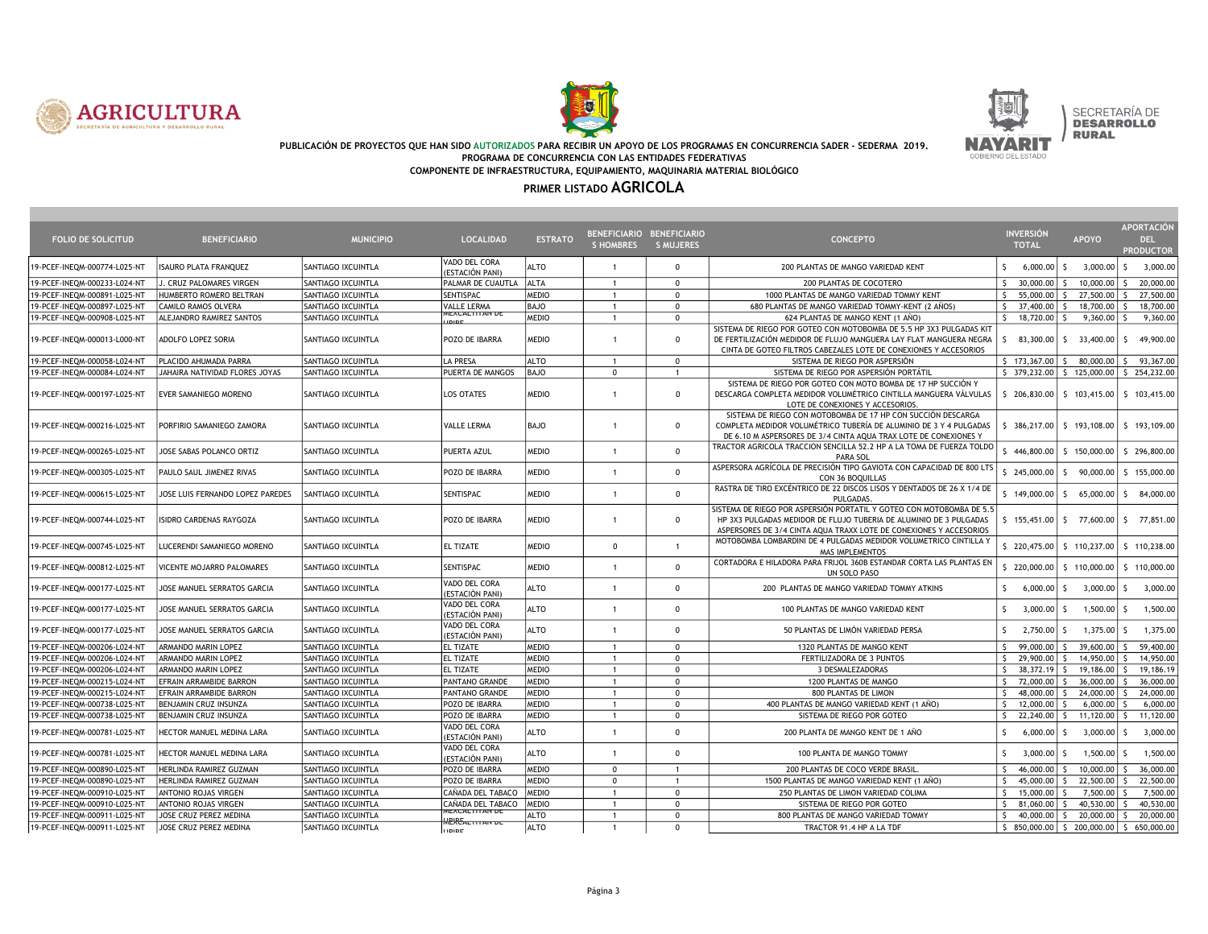





SECRETARÍA DE<br>D**esarrollo RURAL** 

#### PUBLICACIÓN DE PROYECTOS QUE HAN SIDO AUTORIZADOS PARA RECIBIR UN APOYO DE LOS PROGRAMAS EN CONCURRENCIA SADER - SEDERMA 2019. PROGRAMA DE CONCURRENCIA CON LAS ENTIDADES FEDERATIVAS COMPONENTE DE INFRAESTRUCTURA, EQUIPAMIENTO, MAQUINARIA MATERIAL BIOLÓGICO

| <b>FOLIO DE SOLICITUD</b>    | <b>BENEFICIARIO</b>              | <b>MUNICIPIO</b>   | <b>LOCALIDAD</b>                            | <b>ESTRATO</b> | BENEFICIARIO BENEFICIARIO<br><b>S HOMBRES</b> | <b>S MUJERES</b> | <b>CONCEPTO</b>                                                                                                                                                                                                  | <b>INVERSIÓN</b><br><b>TOTAL</b>              | <b>APOYO</b>                                                  | <b>APORTACIÓN</b><br>DEL.<br><b>PRODUCTOR</b> |
|------------------------------|----------------------------------|--------------------|---------------------------------------------|----------------|-----------------------------------------------|------------------|------------------------------------------------------------------------------------------------------------------------------------------------------------------------------------------------------------------|-----------------------------------------------|---------------------------------------------------------------|-----------------------------------------------|
| 19-PCEF-INEQM-000774-L025-NT | <b>ISAURO PLATA FRANQUEZ</b>     | SANTIAGO IXCUINTLA | VADO DEL CORA<br>(ESTACIÓN PANI)            | ALTO           | $\overline{1}$                                | $\mathbf 0$      | 200 PLANTAS DE MANGO VARIEDAD KENT                                                                                                                                                                               | $\mathsf{S}$<br>$6,000.00$ \$                 | $3,000.00$ \$                                                 | 3,000.00                                      |
| 19-PCEF-INEQM-000233-L024-NT | J. CRUZ PALOMARES VIRGEN         | SANTIAGO IXCUINTLA | PALMAR DE CUAUTLA                           | <b>ALTA</b>    | $\overline{1}$                                | $\mathbf{0}$     | 200 PLANTAS DE COCOTERO                                                                                                                                                                                          | S.<br>30,000.00 \$                            | 10.000.00 S                                                   | 20,000.00                                     |
| 19-PCEF-INEQM-000891-L025-NT | HUMBERTO ROMERO BELTRAN          | SANTIAGO IXCUINTLA | SENTISPAC                                   | MEDIO          | $\mathbf{1}$                                  | $\mathbf{0}$     | 1000 PLANTAS DE MANGO VARIEDAD TOMMY KENT                                                                                                                                                                        | 55,000.00 \$<br>S.                            | 27,500.00 \$                                                  | 27,500.00                                     |
| 19-PCEF-INEQM-000897-L025-NT | CAMILO RAMOS OLVERA              | SANTIAGO IXCUINTLA | VALLE LERMA                                 | <b>BAJO</b>    | $\mathbf{1}$                                  | $\mathbf 0$      | 680 PLANTAS DE MANGO VARIEDAD TOMMY-KENT (2 AÑOS)                                                                                                                                                                | 37,400.00 \$<br>S.                            | 18,700.00                                                     | 18,700.00<br>$\mathsf{S}$                     |
| 19-PCEF-INEQM-000908-L025-NT | ALEJANDRO RAMIREZ SANTOS         | SANTIAGO IXCUINTLA | WEACALTTEAN DE                              | <b>MEDIO</b>   | $\overline{1}$                                | $\mathbf 0$      | 624 PLANTAS DE MANGO KENT (1 AÑO)                                                                                                                                                                                | S.<br>18,720.00 \$                            | 9,360.00                                                      | 9,360.00<br>Š                                 |
| 19-PCEF-INEQM-000013-L000-NT | ADOLFO LOPEZ SORIA               | SANTIAGO IXCUINTLA | POZO DE IBARRA                              | MEDIO          | $\overline{1}$                                | $^{\circ}$       | SISTEMA DE RIEGO POR GOTEO CON MOTOBOMBA DE 5.5 HP 3X3 PULGADAS KIT<br>DE FERTILIZACIÓN MEDIDOR DE FLUJO MANGUERA LAY FLAT MANGUERA NEGRA<br>CINTA DE GOTEO FILTROS CABEZALES LOTE DE CONEXIONES Y ACCESORIOS    |                                               | $\begin{bmatrix} 5 & 83,300.00 & 5 & 33,400.00 \end{bmatrix}$ | 49,900.00<br>S.                               |
| 19-PCEF-INEQM-000058-L024-NT | PLACIDO AHUMADA PARRA            | SANTIAGO IXCUINTLA | LA PRESA                                    | <b>ALTO</b>    | $\overline{1}$                                | $\mathbf{0}$     | SISTEMA DE RIEGO POR ASPERSIÓN                                                                                                                                                                                   | $5 \t173,367.00 \t5$                          | 80,000.00 \$                                                  | 93,367.00                                     |
| 19-PCEF-INEQM-000084-L024-NT | JAHAIRA NATIVIDAD FLORES JOYAS   | SANTIAGO IXCUINTLA | PUERTA DE MANGOS                            | <b>BAJO</b>    | $\mathbf 0$                                   | $\overline{1}$   | SISTEMA DE RIEGO POR ASPERSIÓN PORTÁTIL                                                                                                                                                                          |                                               | $$379,232.00$ $$125,000.00$                                   | \$254,232.00                                  |
| 19-PCEF-INEQM-000197-L025-NT | EVER SAMANIEGO MORENO            | SANTIAGO IXCUINTLA | LOS OTATES                                  | <b>MEDIO</b>   | $\mathbf{1}$                                  | $\mathbf 0$      | SISTEMA DE RIEGO POR GOTEO CON MOTO BOMBA DE 17 HP SUCCIÓN Y<br>DESCARGA COMPLETA MEDIDOR VOLUMÉTRICO CINTILLA MANGUERA VÁLVULAS<br>LOTE DE CONEXIONES Y ACCESORIOS                                              |                                               | $$206,830.00$ $$103,415.00$ $$103,415.00$                     |                                               |
| 19-PCEF-INEQM-000216-L025-NT | PORFIRIO SAMANIEGO ZAMORA        | SANTIAGO IXCUINTLA | <b>VALLE LERMA</b>                          | <b>BAJO</b>    | $\overline{1}$                                | $\mathbf 0$      | SISTEMA DE RIEGO CON MOTOBOMBA DE 17 HP CON SUCCIÓN DESCARGA<br>COMPLETA MEDIDOR VOLUMÉTRICO TUBERÍA DE ALUMINIO DE 3 Y 4 PULGADAS<br>DE 6.10 M ASPERSORES DE 3/4 CINTA AQUA TRAX LOTE DE CONEXIONES Y           | \$ 386,217.00   \$ 193,108.00   \$ 193,109.00 |                                                               |                                               |
| 19-PCEF-INEQM-000265-L025-NT | JOSE SABAS POLANCO ORTIZ         | SANTIAGO IXCUINTLA | PUERTA AZUL                                 | <b>MEDIO</b>   | $\overline{1}$                                | $\mathbf{0}$     | TRACTOR AGRICOLA TRACCION SENCILLA 52.2 HP A LA TOMA DE FUERZA TOLDO<br>PARA SOL                                                                                                                                 |                                               | 446,800.00 \$ 150,000.00                                      | \$296,800.00                                  |
| 19-PCEF-INEQM-000305-L025-NT | PAULO SAUL JIMENEZ RIVAS         | SANTIAGO IXCUINTLA | POZO DE IBARRA                              | MEDIO          | $\overline{1}$                                | $\mathbf 0$      | ASPERSORA AGRÍCOLA DE PRECISIÓN TIPO GAVIOTA CON CAPACIDAD DE 800 LTS<br>CON 36 BOQUILLAS                                                                                                                        | \$245,000.00                                  | 90,000.00<br>IS.                                              | \$155,000.00                                  |
| 19-PCEF-INEQM-000615-L025-NT | JOSE LUIS FERNANDO LOPEZ PAREDES | SANTIAGO IXCUINTLA | SENTISPAC                                   | MEDIO          | $\overline{1}$                                | $\mathbf 0$      | RASTRA DE TIRO EXCÉNTRICO DE 22 DISCOS LISOS Y DENTADOS DE 26 X 1/4 DE<br>PULGADAS.                                                                                                                              |                                               | $$149,000.00$$ $$65,000.00$$                                  | \$ 84,000.00                                  |
| 19-PCEF-INEQM-000744-L025-NT | ISIDRO CARDENAS RAYGOZA          | SANTIAGO IXCUINTLA | POZO DE IBARRA                              | MEDIO          | $\overline{1}$                                | $\mathbf 0$      | SISTEMA DE RIEGO POR ASPERSIÓN PORTATIL Y GOTEO CON MOTOBOMBA DE 5.5<br>HP 3X3 PULGADAS MEDIDOR DE FLUJO TUBERIA DE ALUMINIO DE 3 PULGADAS<br>ASPERSORES DE 3/4 CINTA AQUA TRAXX LOTE DE CONEXIONES Y ACCESORIOS |                                               | $$155,451.00$ $$77,600.00$                                    | \$ 77,851.00                                  |
| 19-PCEF-INEQM-000745-L025-NT | LUCERENDI SAMANIEGO MORENO       | SANTIAGO IXCUINTLA | EL TIZATE                                   | MEDIO          | $\mathbf{0}$                                  | $\overline{1}$   | MOTOBOMBA LOMBARDINI DE 4 PULGADAS MEDIDOR VOLUMETRICO CINTILLA Y<br><b>MAS IMPLEMENTOS</b>                                                                                                                      |                                               | \$ 220,475.00   \$ 110,237.00   \$ 110,238.00                 |                                               |
| 19-PCEF-INEQM-000812-L025-NT | VICENTE MOJARRO PALOMARES        | SANTIAGO IXCUINTLA | SENTISPAC                                   | <b>MEDIO</b>   | $\overline{1}$                                | $\mathbf 0$      | CORTADORA E HILADORA PARA FRIJOL 360B ESTANDAR CORTA LAS PLANTAS EN<br>UN SOLO PASO                                                                                                                              |                                               | $$220,000.00$$ $$110,000.00$$ $$110,000.00$                   |                                               |
| 19-PCEF-INEQM-000177-L025-NT | JOSE MANUEL SERRATOS GARCIA      | SANTIAGO IXCUINTLA | VADO DEL CORA<br>(ESTACIÓN PANI)            | ALTO           | $\overline{1}$                                | $\mathbf{0}$     | 200 PLANTAS DE MANGO VARIEDAD TOMMY ATKINS                                                                                                                                                                       | S.<br>$6,000.00$ \$                           | 3,000.00                                                      | 3,000.00<br>-S                                |
| 19-PCEF-INEQM-000177-L025-NT | JOSE MANUEL SERRATOS GARCIA      | SANTIAGO IXCUINTLA | VADO DEL CORA<br>(ESTACIÓN PANI)            | ALTO           | $\overline{1}$                                | $\mathbf 0$      | 100 PLANTAS DE MANGO VARIEDAD KENT                                                                                                                                                                               | S.<br>$3,000.00$ \$                           | 1,500.00                                                      | 1,500.00<br>۱s                                |
| 19-PCEF-INEQM-000177-L025-NT | JOSE MANUEL SERRATOS GARCIA      | SANTIAGO IXCUINTLA | VADO DEL CORA<br>(ESTACIÓN PANI)            | ALTO           | $\overline{1}$                                | $\mathbf{0}$     | 50 PLANTAS DE LIMÓN VARIEDAD PERSA                                                                                                                                                                               | $\mathsf{S}$<br>2,750.00 \$                   | 1,375.00                                                      | 1,375.00<br>-S                                |
| 19-PCEF-INEQM-000206-L024-NT | ARMANDO MARIN LOPEZ              | SANTIAGO IXCUINTLA | EL TIZATE                                   | <b>MEDIO</b>   | $\overline{1}$                                | $\mathbf 0$      | 1320 PLANTAS DE MANGO KENT                                                                                                                                                                                       | 99,000.00<br>S.                               | 39,600.00                                                     | 59,400.00                                     |
| 19-PCEF-INEQM-000206-L024-NT | ARMANDO MARIN LOPEZ              | SANTIAGO IXCUINTLA | EL TIZATE                                   | <b>MEDIO</b>   | $\overline{1}$                                | $\mathbf{0}$     | FERTILIZADORA DE 3 PUNTOS                                                                                                                                                                                        | 29,900.00 \$<br>S.                            | 14,950.00                                                     | 14,950.00                                     |
| 19-PCEF-INEQM-000206-L024-NT | ARMANDO MARIN LOPEZ              | SANTIAGO IXCUINTLA | <b>EL TIZATE</b>                            | <b>MEDIO</b>   | $\mathbf{1}$                                  | $\mathbf 0$      | 3 DESMALEZADORAS                                                                                                                                                                                                 | $38,372.19$ \$<br>S.                          | 19,186.00                                                     | 19,186.19                                     |
| 19-PCEF-INEQM-000215-L024-NT | EFRAIN ARRAMBIDE BARRON          | SANTIAGO IXCUINTLA | PANTANO GRANDE                              | <b>MEDIO</b>   |                                               | $\mathbf 0$      | 1200 PLANTAS DE MANGO                                                                                                                                                                                            | $\mathsf{S}$<br>72,000.00 \$                  | 36,000.00                                                     | 36,000.00<br>ς                                |
| 19-PCEF-INEQM-000215-L024-NT | EFRAIN ARRAMBIDE BARRON          | SANTIAGO IXCUINTLA | PANTANO GRANDE                              | <b>MEDIO</b>   | $\mathbf{1}$                                  | $\Omega$         | 800 PLANTAS DE LIMON                                                                                                                                                                                             | $\mathsf{S}$<br>48,000.00                     | 24,000.00                                                     | 24,000.00                                     |
| 19-PCEF-INEQM-000738-L025-NT | BENJAMIN CRUZ INSUNZA            | SANTIAGO IXCUINTLA | POZO DE IBARRA                              | <b>MEDIO</b>   | $\overline{1}$                                | $\mathbf 0$      | 400 PLANTAS DE MANGO VARIEDAD KENT (1 AÑO)                                                                                                                                                                       | 12,000.00<br>S.                               | 6,000.00                                                      | 6,000.00                                      |
| 19-PCEF-INEQM-000738-L025-NT | BENJAMIN CRUZ INSUNZA            | SANTIAGO IXCUINTLA | POZO DE IBARRA                              | <b>MEDIO</b>   | $\overline{1}$                                | $\mathbf 0$      | SISTEMA DE RIEGO POR GOTEO                                                                                                                                                                                       | $22,240.00$ \$<br>S.                          | 11,120.00                                                     | 11,120.00<br>S.                               |
| 19-PCEF-INEQM-000781-L025-NT | HECTOR MANUEL MEDINA LARA        | SANTIAGO IXCUINTLA | VADO DEL CORA<br>(ESTACIÓN PANI)            | ALTO           | $\mathbf{1}$                                  | $\mathbf 0$      | 200 PLANTA DE MANGO KENT DE 1 AÑO                                                                                                                                                                                | $6,000.00$ \$<br>s.                           | 3,000.00                                                      | 3,000.00<br>-S                                |
| 19-PCEF-INEQM-000781-L025-NT | HECTOR MANUEL MEDINA LARA        | SANTIAGO IXCUINTLA | VADO DEL CORA<br>(ESTACIÓN PANI)            | ALTO           | $\overline{1}$                                | $\mathbf 0$      | 100 PLANTA DE MANGO TOMMY                                                                                                                                                                                        | S.<br>$3,000.00$ $\mid$ \$                    | 1,500.00                                                      | 1,500.00<br>-S                                |
| 19-PCEF-INEQM-000890-L025-NT | HERLINDA RAMIREZ GUZMAN          | SANTIAGO IXCUINTLA | POZO DE IBARRA                              | <b>MEDIO</b>   | $^{\circ}$                                    | $\overline{1}$   | 200 PLANTAS DE COCO VERDE BRASIL.                                                                                                                                                                                | S.<br>46,000,00 S                             | 10,000.00                                                     | 36,000.00<br>$\zeta$                          |
| 19-PCEF-INEQM-000890-L025-NT | HERLINDA RAMIREZ GUZMAN          | SANTIAGO IXCUINTLA | POZO DE IBARRA                              | <b>MEDIO</b>   | $\mathbf 0$                                   | $\overline{1}$   | 1500 PLANTAS DE MANGO VARIEDAD KENT (1 AÑO)                                                                                                                                                                      | $45,000.00$ \$<br>S.                          | 22,500.00                                                     | 22,500.00<br>ls.                              |
| 19-PCEF-INEQM-000910-L025-NT | ANTONIO ROJAS VIRGEN             | SANTIAGO IXCUINTLA | CAÑADA DEL TABACO                           | MEDIO          | $\mathbf{1}$                                  | $\mathbf 0$      | 250 PLANTAS DE LIMON VARIEDAD COLIMA                                                                                                                                                                             | $\mathsf{S}$<br>$15,000.00$ \$                | 7,500.00                                                      | 7,500.00<br>s                                 |
| 19-PCEF-INEQM-000910-L025-NT | ANTONIO ROJAS VIRGEN             | SANTIAGO IXCUINTLA | CAÑADA DEL TABACO<br><b>MEACALTITAIN DE</b> | MEDIO          | $\overline{1}$                                | $\mathbf{0}$     | SISTEMA DE RIEGO POR GOTEO                                                                                                                                                                                       | $\mathsf{S}$<br>81,060.00 \$                  | 40,530.00                                                     | $\zeta$<br>40,530.00                          |
| 19-PCEF-INEQM-000911-L025-NT | JOSE CRUZ PEREZ MEDINA           | SANTIAGO IXCUINTLA | <del>WEXCALTTAN DE</del>                    | <b>ALTO</b>    | $\mathbf{1}$                                  | $\mathbf 0$      | 800 PLANTAS DE MANGO VARIEDAD TOMMY                                                                                                                                                                              | $\mathsf{S}$<br>$40,000.00$ \$                | 20,000.00                                                     | 20,000.00<br>$\mathsf{S}$                     |
| 19-PCEF-INEQM-000911-L025-NT | JOSE CRUZ PEREZ MEDINA           | SANTIAGO IXCUINTLA | <b>IIDIDE</b>                               | <b>ALTO</b>    | $\mathbf{1}$                                  | $\Omega$         | TRACTOR 91.4 HP A LA TDF                                                                                                                                                                                         |                                               | $$850,000.00$$ $$200,000.00$                                  | 650,000.00<br>-S                              |